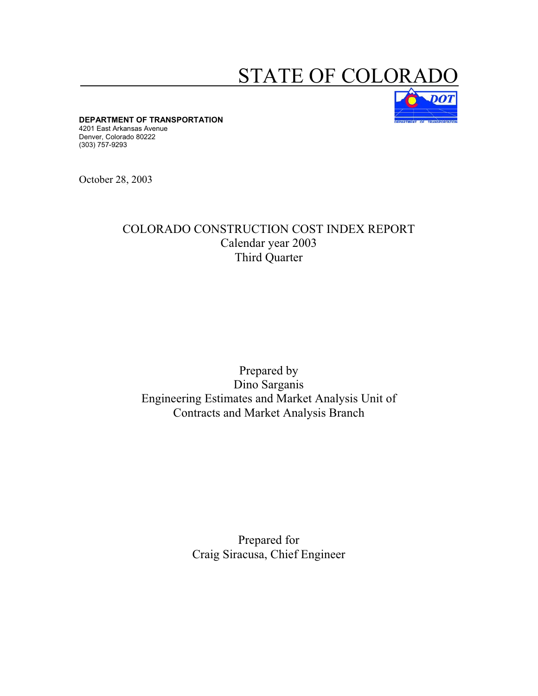# **STATE OF COLOR**



**DEPARTMENT OF TRANSPORTATION** 

4201 East Arkansas Avenue Denver, Colorado 80222 (303) 757-9293

October 28, 2003

# COLORADO CONSTRUCTION COST INDEX REPORT Calendar year 2003 Third Quarter

# Prepared by Dino Sarganis Engineering Estimates and Market Analysis Unit of Contracts and Market Analysis Branch

Prepared for Craig Siracusa, Chief Engineer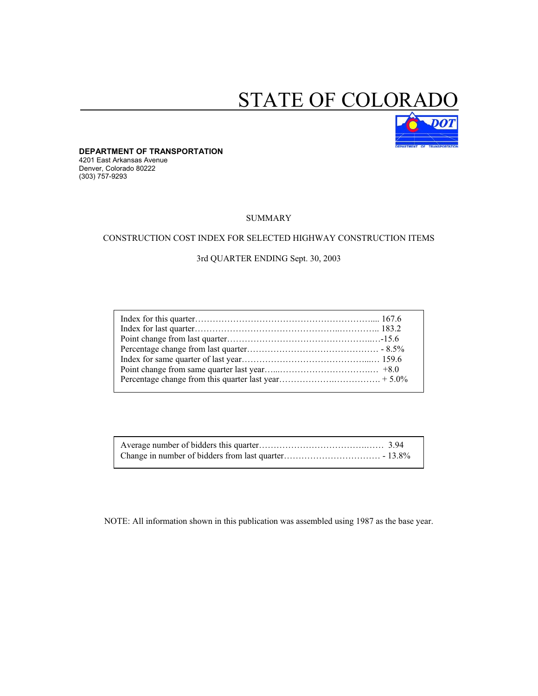# STATE OF COLORAL



**DEPARTMENT OF TRANSPORTATION**  4201 East Arkansas Avenue Denver, Colorado 80222 (303) 757-9293

#### SUMMARY

#### CONSTRUCTION COST INDEX FOR SELECTED HIGHWAY CONSTRUCTION ITEMS

#### 3rd QUARTER ENDING Sept. 30, 2003

NOTE: All information shown in this publication was assembled using 1987 as the base year.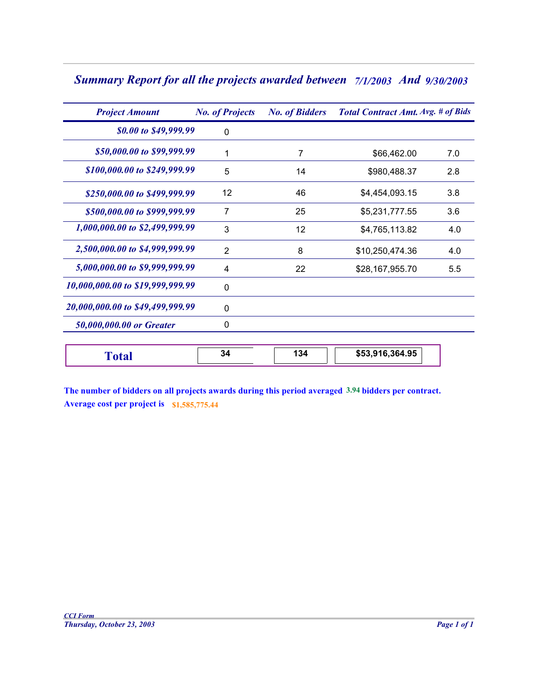| <b>Summary Report for all the projects awarded between</b> 7/1/2003 And 9/30/2003 |  |  |  |
|-----------------------------------------------------------------------------------|--|--|--|
|-----------------------------------------------------------------------------------|--|--|--|

| <b>Project Amount</b>            | <b>No. of Projects</b> | <b>No. of Bidders</b> | <b>Total Contract Amt. Avg. # of Bids</b> |     |
|----------------------------------|------------------------|-----------------------|-------------------------------------------|-----|
| \$0.00 to \$49,999.99            | 0                      |                       |                                           |     |
| \$50,000.00 to \$99,999.99       | 1                      | 7                     | \$66,462.00                               | 7.0 |
| \$100,000.00 to \$249,999.99     | 5                      | 14                    | \$980,488.37                              | 2.8 |
| \$250,000.00 to \$499,999.99     | 12                     | 46                    | \$4,454,093.15                            | 3.8 |
| \$500,000.00 to \$999,999.99     | 7                      | 25                    | \$5,231,777.55                            | 3.6 |
| 1,000,000.00 to \$2,499,999.99   | 3                      | 12                    | \$4,765,113.82                            | 4.0 |
| 2,500,000.00 to \$4,999,999.99   | $\overline{2}$         | 8                     | \$10,250,474.36                           | 4.0 |
| 5,000,000.00 to \$9,999,999.99   | 4                      | 22                    | \$28,167,955.70                           | 5.5 |
| 10,000,000.00 to \$19,999,999.99 | $\mathbf{0}$           |                       |                                           |     |
| 20,000,000.00 to \$49,499,999.99 | $\mathbf{0}$           |                       |                                           |     |
| 50,000,000.00 or Greater         | 0                      |                       |                                           |     |
| <b>Total</b>                     | 34                     | 134                   | \$53,916,364.95                           |     |

| \$53,916,364.95<br>$\overline{\phantom{a}}$<br>ەد<br>- 1<br>` Otar<br>~− |
|--------------------------------------------------------------------------|
|--------------------------------------------------------------------------|

**The number of bidders on all projects awards during this period averaged 3.94 bidders per contract. Average cost per project is \$1,585,775.44**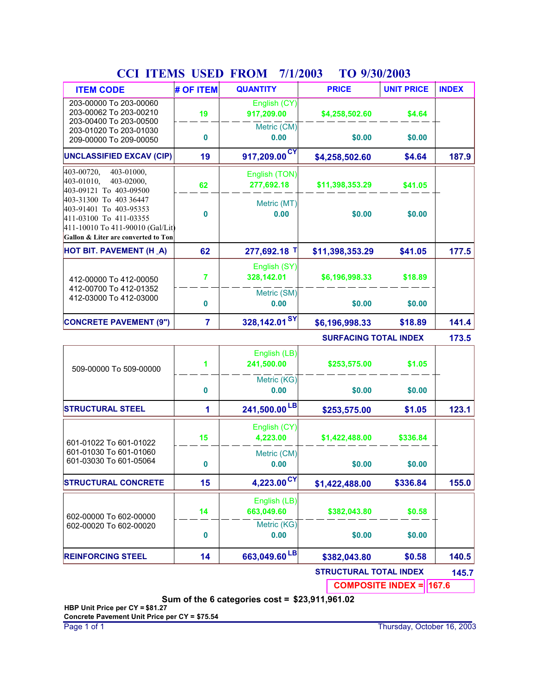| $\mathbf{v}$<br><b>TT EIVID</b><br><b>ITEM CODE</b>                                                                                                   | $\overline{\mathbf{U}}$<br># OF ITEM | 111200J<br><b>QUANTITY</b>  | $1 \cup 7 \cup 0$ ave<br><b>PRICE</b> | <b>UNIT PRICE</b> | <b>INDEX</b> |
|-------------------------------------------------------------------------------------------------------------------------------------------------------|--------------------------------------|-----------------------------|---------------------------------------|-------------------|--------------|
| 203-00000 To 203-00060<br>203-00062 To 203-00210                                                                                                      | 19                                   | English (CY)<br>917,209.00  | \$4,258,502.60                        | \$4.64            |              |
| 203-00400 To 203-00500<br>203-01020 To 203-01030<br>209-00000 To 209-00050                                                                            | 0                                    | Metric (CM)<br>0.00         | \$0.00                                | \$0.00            |              |
| <b>UNCLASSIFIED EXCAV (CIP)</b>                                                                                                                       | 19                                   | 917,209.00 <sup>CY</sup>    | \$4,258,502.60                        | \$4.64            | 187.9        |
| 403-00720,<br>403-01000,<br>403-01010,<br>403-02000,<br>403-09121 To 403-09500                                                                        | 62                                   | English (TON)<br>277,692.18 | \$11,398,353.29                       | \$41.05           |              |
| 403-31300 To 403 36447<br>403-91401 To 403-95353<br>411-03100 To 411-03355<br>411-10010 To 411-90010 (Gal/Lit)<br>Gallon & Liter are converted to Ton | 0                                    | Metric (MT)<br>0.00         | \$0.00                                | \$0.00            |              |
| HOT BIT. PAVEMENT (H _A)                                                                                                                              | 62                                   | 277,692.18 T                | \$11,398,353.29                       | \$41.05           | 177.5        |
| 412-00000 To 412-00050                                                                                                                                | $\overline{7}$                       | English (SY)<br>328,142.01  | \$6,196,998.33                        | \$18.89           |              |
| 412-00700 To 412-01352<br>412-03000 To 412-03000                                                                                                      | $\bf{0}$                             | Metric (SM)<br>0.00         | \$0.00                                | \$0.00            |              |
| <b>CONCRETE PAVEMENT (9")</b>                                                                                                                         | $\overline{7}$                       | 328,142.01 <sup>SY</sup>    | \$6,196,998.33                        | \$18.89           | 141.4        |
|                                                                                                                                                       |                                      |                             | <b>SURFACING TOTAL INDEX</b>          |                   | 173.5        |
| 509-00000 To 509-00000                                                                                                                                | 1                                    | English (LB)<br>241,500.00  | \$253,575.00                          | \$1.05            |              |
|                                                                                                                                                       | 0                                    | Metric (KG)<br>0.00         | \$0.00                                | \$0.00            |              |
| <b>STRUCTURAL STEEL</b>                                                                                                                               | 1                                    | 241,500.00 <sup>LB</sup>    | \$253,575.00                          | \$1.05            | 123.1        |
| 601-01022 To 601-01022                                                                                                                                | 15                                   | English (CY)<br>4,223.00    | \$1,422,488.00                        | \$336.84          |              |
| 601-01030 To 601-01060<br>601-03030 To 601-05064                                                                                                      | 0                                    | Metric (CM)<br>0.00         | \$0.00                                | \$0.00            |              |
| <b>STRUCTURAL CONCRETE</b>                                                                                                                            | 15                                   | $4,223.00$ <sup>CY</sup>    | \$1,422,488.00                        | \$336.84          | 155.0        |
| 602-00000 To 602-00000                                                                                                                                | 14                                   | English (LB)<br>663,049.60  | \$382,043.80                          | \$0.58            |              |
| 602-00020 To 602-00020                                                                                                                                | $\bf{0}$                             | Metric (KG)<br>0.00         | \$0.00                                | \$0.00            |              |
| <b>REINFORCING STEEL</b>                                                                                                                              | 14                                   | 663,049.60 <sup>LB</sup>    | \$382,043.80                          | \$0.58            | 140.5        |
|                                                                                                                                                       |                                      |                             | <b>CTDUCTUD</b>                       |                   |              |

## **CCI ITEMS USED FROM 7/1/2003 TO 9/30/2003**

**STRUCTURAL TOTAL INDEX 145.7**

**COMPOSITE INDEX = 167.6**

**Sum of the 6 categories cost = \$23,911,961.02**

**HBP Unit Price per CY = \$81.27 Concrete Pavement Unit Price per CY = \$75.54**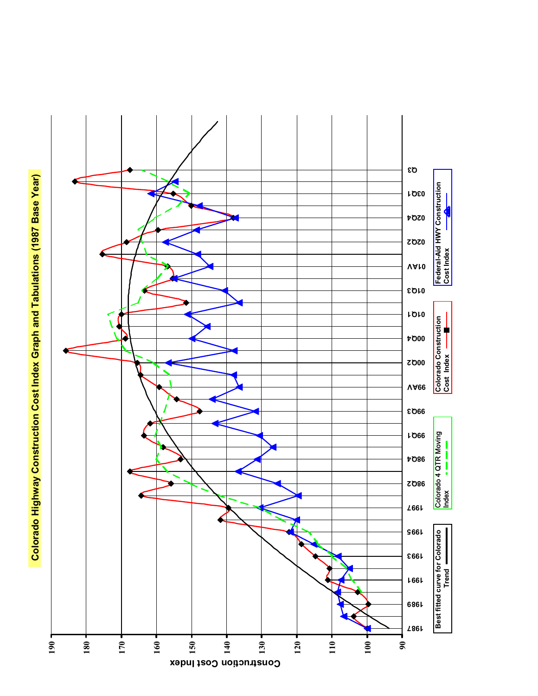Colorado Highway Construction Cost Index Graph and Tabulations (1987 Base Year) **Colorado Highway Construction Cost Index Graph and Tabulations (1987 Base Year)**

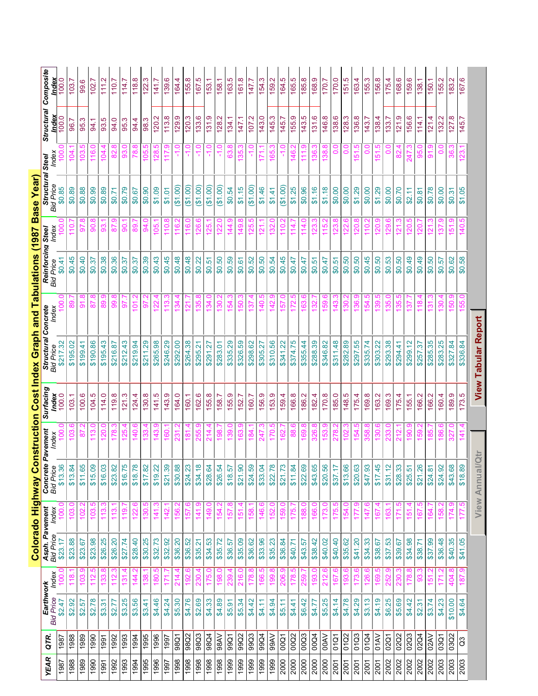|             |                  |                               |                |                                                       |                |                                |                   |                | Colorado Highway Construction Cost Index Graph and Tabulations (1987 Base Year) |                   |                     |                  |                           |                             |                |                        |
|-------------|------------------|-------------------------------|----------------|-------------------------------------------------------|----------------|--------------------------------|-------------------|----------------|---------------------------------------------------------------------------------|-------------------|---------------------|------------------|---------------------------|-----------------------------|----------------|------------------------|
| <b>YEAR</b> | QTR.             | Earthwork<br><b>Bid Price</b> | Index          | <b>Asph. Pavement</b><br>Bid Price <sub>,</sub> Index |                | <b>Concrete F</b><br>Bid Price | Pavement<br>Index | Surfacing      | <b>Structural Concrete</b><br><b>Bid Price</b>                                  | Index             | Reinforcing Steel   | Index            | Structural :<br>Bid Price | ndex<br><b>Steel</b>        | Structural     | Composite              |
| 1987        | $\frac{1987}{1}$ | \$2.47                        |                | \$23.17                                               |                | \$13.36                        |                   | Index<br>100.0 | \$217.32                                                                        |                   | Bid Price<br>\$0.41 |                  | \$0.85                    |                             | Index<br>100.0 | ndex<br>$\overline{0}$ |
| 1988        | 1988             | \$2.92                        | 118            | \$23.88                                               | 103.           | \$13.84                        | $\overline{103}$  | 103.1          | \$195.02                                                                        | 89                | \$0.45              | 10 <sub>1</sub>  | \$0.89                    | 104                         | 96.7           | 103                    |
| 1989        | 1989             | \$2.57                        | 103.9          | \$23.67                                               | 102            | \$11.65                        | 5                 | 100.6          | \$199.41                                                                        | 91.8              | \$0.40              | 56               | \$0.88                    | <u>ທ</u><br>103.            | 95.3           | 99.6                   |
| 1990        | 1990             | \$2.78                        | 112            | \$23.98                                               | 103            | \$15.09                        | $\frac{13}{2}$    | 104.5          | \$190.86                                                                        | 87.8              | \$0.37              | So               | \$0.99                    | 116.                        | 94.1           | 102.7                  |
| 1991        | 1991             | \$3.31                        | 133            | \$26.25                                               | 113            | \$16.03                        | $\overline{20}$   | 114.0          | \$195.43                                                                        | <u> တ</u><br>89   | \$0.38              | 93               | \$0.89                    | <u>ра;</u>                  | 93.5           | 111.2                  |
| 1992        | 1992             | \$2.77                        | 112            | \$26.20                                               | 113            | \$23.82                        | 178               | 119.8          | \$216.87                                                                        | œ<br>99           | \$0.36              | 57               | \$0.71                    | $\overline{8}$              | 94.0           | 110.7                  |
| 1993        | 1993             | \$3.25                        | 131.4          | \$27.74                                               | $\frac{9}{1}$  | \$16.75                        | 125.4             | 121.3          | \$212.43                                                                        | 57.7              | \$0.37              | <u>ခွ</u>        | \$0.79                    | 93.0                        | 95.3           | 114.7                  |
| 1994        | 1994             | \$3.56                        | 144            | \$28.40                                               | 122            | \$18.78                        | 140.6             | 124.4          | \$219.94                                                                        | 101.2             | \$0.37              | 89               | \$0.67                    | χø.                         | 94.4           | 118.8                  |
| 1995        | 1995             | \$3.41                        | $\frac{8}{38}$ | \$30.25                                               | $\frac{8}{30}$ | \$17.82                        | 133               | 130.8          | \$211.29                                                                        | 5                 | \$0.39              | 34.              | \$0.90                    | <u> ю</u><br>$\overline{5}$ | 98.3           | ო<br>122.              |
| 1996        | 1996             | \$4.46                        | 180.           | \$32.73                                               | $\frac{14}{1}$ | \$19.22                        | 143               | 141.5          | \$265.98                                                                        | 122               | \$0.43              | 105              | \$1.09                    | <u> ю</u><br>$\frac{28}{2}$ | 120.2          | 141.7                  |
| 1997        | 1997             | \$4.24                        | 171.           | \$32.92                                               | $\frac{42}{3}$ | \$21.39                        | $\overline{60}$   | 143.9          | \$246.29                                                                        | 113.3             | \$0.45              | $\frac{1}{10}$   | \$1.01                    | တ္<br>117                   | 113.8          | 139.6                  |
| 1998        | 98Q1             | \$5.30                        | 214.           | \$36.20                                               | 156            | \$30.88                        | 231               | 164.0          | \$292.00                                                                        | 34.               | \$0.48              | 116.<br>T        | (61.00)                   |                             | 129.9          | 164.4                  |
| 1998        | 9802             | \$4.76                        | 192.           | \$36.52                                               | 157            | \$24.23                        | $\frac{81}{2}$    | 160.1          | \$264.38                                                                        | ম                 | \$0.48              | 116.<br>T        | (61.00)                   | Q                           | 120.3          | 155.8                  |
| 1998        | 98Q3             | \$2.69                        | 230.           | \$35.21                                               | $\frac{41}{4}$ | \$34.18                        | 255.              | 162.6          | \$295.21                                                                        | œ<br>135.         | \$0.22              | 126.6            | (61.00)                   | ں<br>-                      | 133.6          | 167.5                  |
| 1998        | 98Q4             | \$4.33                        | 175.0          | \$34.53                                               | 149.           | \$28.64                        | 214.              | 155.8          | \$291.27                                                                        | 134.0             | \$0.51              | 125.             | (61.00)                   | $\frac{0}{1}$               | 131.9          | 153.1                  |
| 1998        | 98AV             | \$4.89                        | 198.           | \$35.72                                               | 154            | \$26.54                        | 198               | 158.7          | \$283.01                                                                        | 130.              | \$0.50              | 122              | (61.00)                   | ۹.<br>۲                     | 128.2          | 158.1                  |
| 1999        | 99Q              | \$5.91                        | 239.           | \$36.57                                               | 157            | \$18.57                        | <u>ფ</u>          | 155.9          | \$335.29                                                                        | 154.              | \$0.59              | <u>တ</u><br>144. | \$0.54                    | ශි                          | 134.1          | 163.5                  |
| 1999        | 99Q2             | \$5.34                        | 216.0          | \$35.09                                               | 151            | \$21.90                        | 163               | 152.7          | \$326.59                                                                        | 150.3             | \$0.61              | 149.             | \$1.15                    | ო<br>35.                    | 147.1          | 161.8                  |
| 1999        | 99Q3             | \$4.42                        | 178.8          | \$36.62                                               | 158.           | \$24.59                        | 184               | 160.7          | \$298.62                                                                        | 137               | \$0.52              | 125.             | (61.00)                   | ۹.                          | 107.2          | 147.7                  |
| 1999        | 99Q4             | \$4.11                        | 166.           | \$33.96                                               | 146.           | \$33.04                        | 247               | 156.9          | \$305.27                                                                        | ю<br>140          | \$0.50              | 121              | \$1.46                    |                             | 143.0          | 154.3                  |
| 1999        | <b>OARG</b>      | \$4.94                        | 199.           | \$35.23                                               | 152            | \$22.78                        | 170               | 153.9          | \$310.56                                                                        | တ                 | \$0.54              | 132              | \$1.41                    | 165                         | 145.3          | 159.2                  |
| 2000        | 00Q1             | \$5.11                        | 206.           | \$36.84                                               | 159.0          | \$21.73                        | 162               | 159.4          | \$341.22                                                                        | Q<br>57           | \$0.45              | $\frac{10}{10}$  | (61.00)                   | ۹                           | 145.7          | 164.5                  |
| 2000        | $\overline{100}$ | \$4.41                        | 178.<br>1      | \$40.71                                               | 175.<br>1      | \$11.84                        | 88                | 166.8          | \$374.75                                                                        | بما<br>172.       | \$0.47              | $\frac{14}{1}$   | \$1.25                    | ЭР<br>14                    | 155.9          | 165.5                  |
| 2000        | 00Q3             | \$6.42                        | 259            | \$43.57                                               | 188.           | \$22.69                        | 169               | 186.2          | \$355.44                                                                        | ڡؚ<br>163.        | \$0.47              | 114              | \$0.96                    | $\frac{1}{11}$              | 143.5          | 185.8                  |
| 2000        | 00Q4             | \$4.77                        | 193            | \$38.42                                               | 166.           | \$43.65                        | 326               | 182.4          | \$288.39                                                                        | 132               | \$0.51              | <u>123</u>       | \$1.16                    | 136.                        | 131.6          | 168.9                  |
| 2000        | <b>OOAV</b>      | \$5.25                        | 212            | \$40.02                                               |                | \$20.56                        | အ                 | 170.8          | \$346.82                                                                        | 159.6             | \$0.47              | ia<br>11         | \$1.18                    | 38.                         | 146.8          | 170.7                  |
| 2001        | 01Q1             | \$4.14                        | 167            | \$40.40                                               |                | \$37.17                        |                   | 185.0          | \$311.48                                                                        | $\frac{43}{5}$    | \$0.51              | <u>23</u>        | \$0.00                    | $_{\circ}^{\circ}$          | 138.6          | 170.0                  |
| 2001        | 01Q2             | \$4.78                        | 193            | \$35.62                                               | 54             | \$13.66                        | <u>sa</u>         | 148.5          | \$282.89                                                                        | 30                | \$0.50              | 122              | \$0.00                    | $\mathbf{c}$                | 128.3          | 151.5                  |
| 2001        | 01Q3             | \$4.29                        | 173            | \$41.20                                               |                | \$20.63                        | $\ddot{5}$        | 175.4          | \$297.55                                                                        | ၜ<br>36,          | \$0.50              | 120              | \$1.29                    | ယ<br>5                      | 136.8          | 163.4                  |
| 2001        | 01Q4             | \$3.13                        | 126.           | \$34.33                                               | 147            | \$47.93                        | 358.              | 169.8          | \$335.74                                                                        | ယ<br>154.         | \$0.45              | $\frac{10}{10}$  | \$0.00                    | $\frac{0}{0}$               | 143.7          | 155.3                  |
| 2001        | <b>O1AV</b>      | \$4.19                        | 169.           | \$38.67                                               | 167            | \$17.45                        | 130.              | 163.2          | \$303.22                                                                        | ယ<br>139.         | \$0.50              | 120.             | \$1.29                    | بە<br><u>চ</u>              | 138.4          | 156.8                  |
| 2002        | 02Q1             | \$6.25                        | 252            | \$37.53                                               | 163            | \$31.12                        | 233               | 169.3          | \$293.38                                                                        | 135.              | \$0.53              | 129              | \$0.00                    | ö                           | 133.7          | 175.4                  |
| 2002        | 02Q2             | \$5.69                        | 230            | \$39.67                                               | 171            | \$28.33                        | 212               | 175.4          | \$294.41                                                                        | 5<br>135          | \$0.50              | 121              | \$0.70                    | 82                          | 121.9          | 168.6                  |
| 2002        | 02Q3             | \$4.42                        | 178.           | \$34.98                                               | 151            | \$25.51                        | $\overline{190}$  | 155.1          | \$299.12                                                                        | 137               | \$0.49              | 120              | \$2.11                    | 247                         | 156.6          | 159.6                  |
| 2002        | 02Q4             | \$2.31                        | 8              | \$38.71                                               | 167            | \$21.26                        | 159               | 166.2          | \$257.37                                                                        | 118               | \$0.49              | 120              | \$0.81                    | န္တ                         | 114.1          | 138.1                  |
| 2002        | 02AV             | \$3.74                        | ဖြ             | \$37.99                                               | 164            | \$24.81                        | 185               | 166.2          | \$285.35                                                                        |                   | \$0.50              |                  | \$0.78                    | ଚ୍ଚ                         | 121.4          | 150.1                  |
| 2003        | 03Q1             | \$4.23                        | 171            | \$36.48                                               | 58             | \$24.92                        | 186               | 160.4          | \$283.25                                                                        | ႙                 | \$0.57              | స్               | \$0.00                    | 0                           | 132.2          | 55.2                   |
| 2003        | 03Q2             | \$10.00                       | ထ<br>404.      | \$40.35                                               | 174.           | \$43.68                        | 327               | 189.9          | \$327.84                                                                        | <u>ဇာ</u><br>150. | \$0.62              | 151.             | \$0.31                    | \$                          | 127.8          | 183.2                  |
| 2003        | 3                | \$4.64                        | 187.9          | \$41.05                                               | 177            | \$18.89                        | 141.4             | 173.5          | \$336.84                                                                        | 55.0              | \$0.58              | 140.5            | \$1.05                    | 123.                        | 145.7          | 167.6                  |
|             |                  |                               |                |                                                       |                | <b>View Annual/Qtr</b>         |                   |                | <b>View Tabular Report</b>                                                      |                   |                     |                  |                           |                             |                |                        |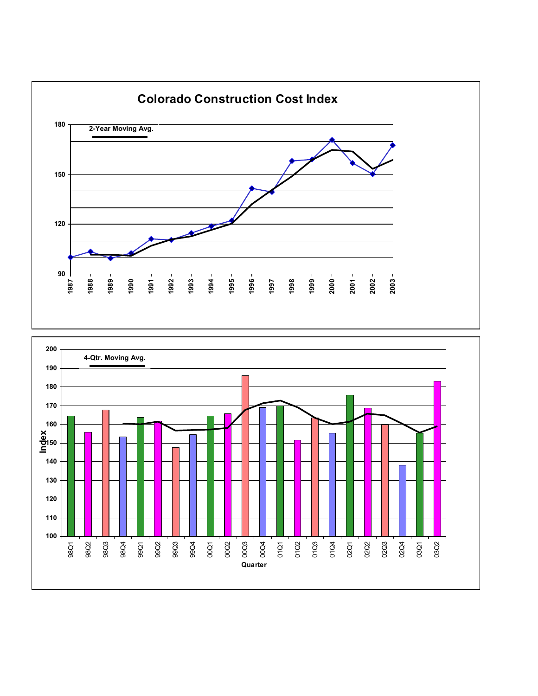